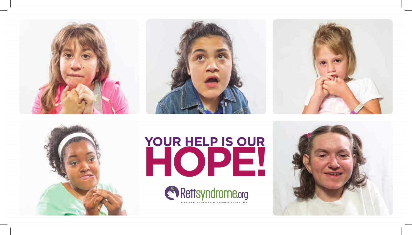